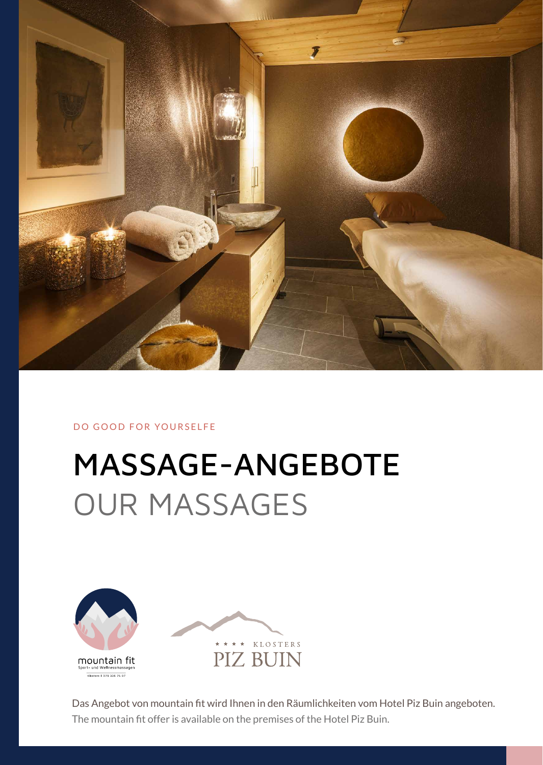

DO GOOD FOR YOURSELFE

# MASSAGE-ANGEBOTE OUR MASSAGES



Das Angebot von mountain fit wird Ihnen in den Räumlichkeiten vom Hotel Piz Buin angeboten. The mountain fit offer is available on the premises of the Hotel Piz Buin.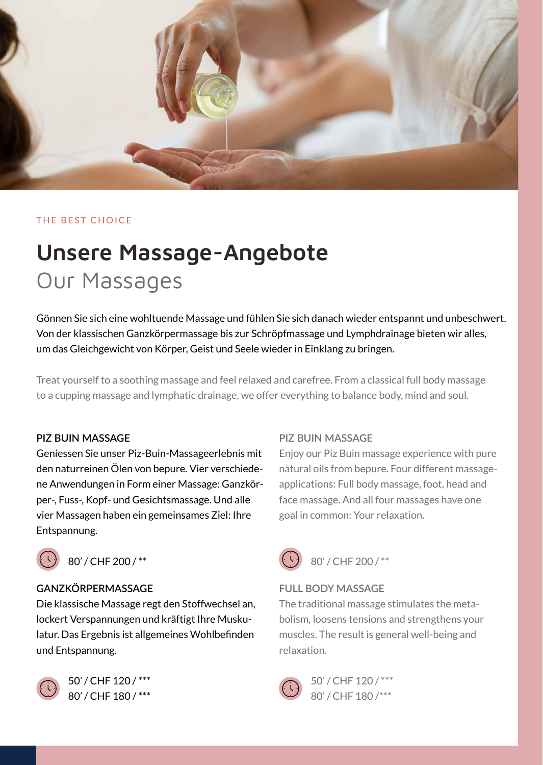

#### THE BEST CHOICE

## Unsere Massage-Angebote Our Massages

Gönnen Sie sich eine wohltuende Massage und fühlen Sie sich danach wieder entspannt und unbeschwert. Von der klassischen Ganzkörpermassage bis zur Schröpfmassage und Lymphdrainage bieten wir alles, um das Gleichgewicht von Körper, Geist und Seele wieder in Einklang zu bringen.

Treat yourself to a soothing massage and feel relaxed and carefree. From a classical full body massage to a cupping massage and lymphatic drainage, we offer everything to balance body, mind and soul.

#### **PIZ BUIN MASSAGE**

Geniessen Sie unser Piz-Buin-Massageerlebnis mit den naturreinen Ölen von bepure. Vier verschiedene Anwendungen in Form einer Massage: Ganzkörper-, Fuss-, Kopf- und Gesichtsmassage. Und alle vier Massagen haben ein gemeinsames Ziel: Ihre Entspannung.



 $\left(\begin{array}{cc} \overline{1} \\ 1 \end{array}\right)$  80' / CHF 200 / \*\*

#### **GANZKÖRPERMASSAGE**

Die klassische Massage regt den Stoffwechsel an, lockert Verspannungen und kräftigt Ihre Muskulatur. Das Ergebnis ist allgemeines Wohlbefinden und Entspannung.



 50' / CHF 120 / \*\*\* 80' / CHF 180 / \*\*\*

#### **PIZ BUIN MASSAGE**

Enjoy our Piz Buin massage experience with pure natural oils from bepure. Four different massageapplications: Full body massage, foot, head and face massage. And all four massages have one goal in common: Your relaxation.



#### **FULL BODY MASSAGE**

The traditional massage stimulates the metabolism, loosens tensions and strengthens your muscles. The result is general well-being and relaxation.



 50' / CHF 120 / \*\*\* 80' / CHF 180 /\*\*\*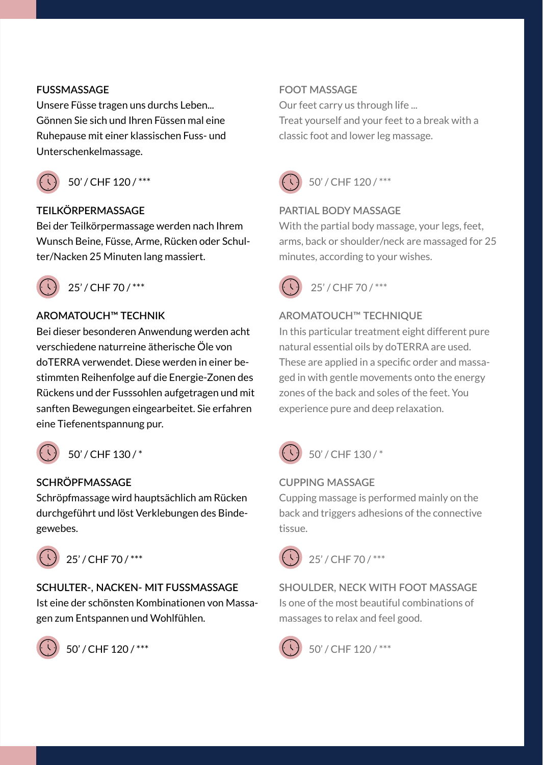#### **FUSSMASSAGE**

Unsere Füsse tragen uns durchs Leben... Gönnen Sie sich und Ihren Füssen mal eine Ruhepause mit einer klassischen Fuss- und Unterschenkelmassage.



50' / CHF 120 / \*\*\*

#### **TEILKÖRPERMASSAGE**

Bei der Teilkörpermassage werden nach Ihrem Wunsch Beine, Füsse, Arme, Rücken oder Schulter/Nacken 25 Minuten lang massiert.



25' / CHF 70 / \*\*\*

#### **AROMATOUCH™ TECHNIK**

Bei dieser besonderen Anwendung werden acht verschiedene naturreine ätherische Öle von doTERRA verwendet. Diese werden in einer bestimmten Reihenfolge auf die Energie-Zonen des Rückens und der Fusssohlen aufgetragen und mit sanften Bewegungen eingearbeitet. Sie erfahren eine Tiefenentspannung pur.

50' / CHF 130 / \*

#### **SCHRÖPFMASSAGE**

Schröpfmassage wird hauptsächlich am Rücken durchgeführt und löst Verklebungen des Bindegewebes.



### **SCHULTER-, NACKEN- MIT FUSSMASSAGE**

Ist eine der schönsten Kombinationen von Massagen zum Entspannen und Wohlfühlen.



50' / CHF 120 / \*\*\*

#### **FOOT MASSAGE**

Our feet carry us through life ... Treat yourself and your feet to a break with a classic foot and lower leg massage.



### $\begin{pmatrix} 1 & 50' & CHF & 120 \end{pmatrix}$  \*\*\*

#### **PARTIAL BODY MASSAGE**

With the partial body massage, your legs, feet, arms, back or shoulder/neck are massaged for 25 minutes, according to your wishes.

 $25'/CHF70/***$ 

#### **AROMATOUCH™ TECHNIQUE**

In this particular treatment eight different pure natural essential oils by doTERRA are used. These are applied in a specific order and massaged in with gentle movements onto the energy zones of the back and soles of the feet. You experience pure and deep relaxation.



**CUPPING MASSAGE**

Cupping massage is performed mainly on the back and triggers adhesions of the connective tissue.

 $25'/CHF70/***$ 

**SHOULDER, NECK WITH FOOT MASSAGE** Is one of the most beautiful combinations of massages to relax and feel good.



 $\big)$  50' / CHF 120 / \*\*\*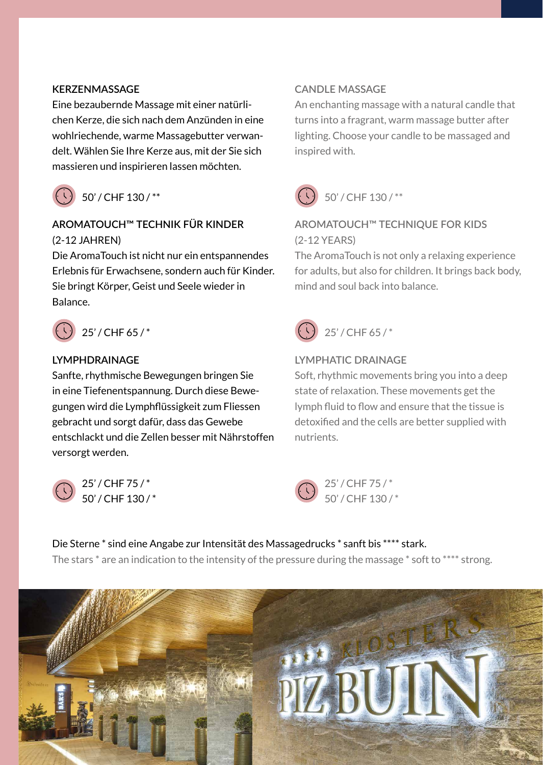#### **KERZENMASSAGE**

Eine bezaubernde Massage mit einer natürlichen Kerze, die sich nach dem Anzünden in eine wohlriechende, warme Massagebutter verwandelt. Wählen Sie Ihre Kerze aus, mit der Sie sich massieren und inspirieren lassen möchten.



### $(1)$  50' / CHF 130 /\*\*

### **AROMATOUCH™ TECHNIK FÜR KINDER** (2-12 JAHREN)

Die AromaTouch ist nicht nur ein entspannendes Erlebnis für Erwachsene, sondern auch für Kinder. Sie bringt Körper, Geist und Seele wieder in Balance.



### 25' / CHF 65 / \*

#### **LYMPHDRAINAGE**

Sanfte, rhythmische Bewegungen bringen Sie in eine Tiefenentspannung. Durch diese Bewegungen wird die Lymphflüssigkeit zum Fliessen gebracht und sorgt dafür, dass das Gewebe entschlackt und die Zellen besser mit Nährstoffen versorgt werden.



 25' / CHF 75 / \* 50' / CHF 130 / \*

#### **CANDLE MASSAGE**

An enchanting massage with a natural candle that turns into a fragrant, warm massage butter after lighting. Choose your candle to be massaged and inspired with.



#### **AROMATOUCH™ TECHNIQUE FOR KIDS** (2-12 YEARS)

The AromaTouch is not only a relaxing experience for adults, but also for children. It brings back body, mind and soul back into balance.



#### **LYMPHATIC DRAINAGE**

Soft, rhythmic movements bring you into a deep state of relaxation. These movements get the lymph fluid to flow and ensure that the tissue is detoxified and the cells are better supplied with nutrients.



Die Sterne \* sind eine Angabe zur Intensität des Massagedrucks \* sanft bis \*\*\*\* stark. The stars  $*$  are an indication to the intensity of the pressure during the massage  $*$  soft to  $***$  strong.

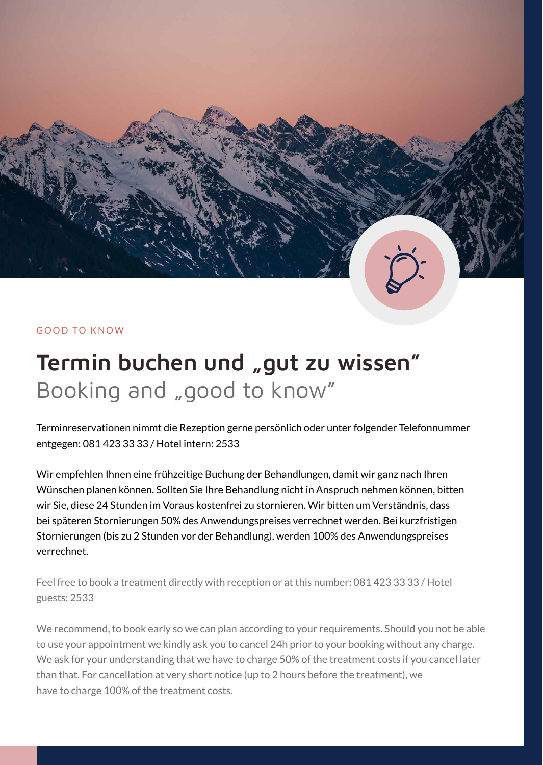#### GOOD TO KNOW

# Termin buchen und "gut zu wissen" Booking and "good to know"

Terminreservationen nimmt die Rezeption gerne persönlich oder unter folgender Telefonnummer entgegen: 081 423 33 33 / Hotel intern: 2533

Wir empfehlen Ihnen eine frühzeitige Buchung der Behandlungen, damit wir ganz nach Ihren Wünschen planen können. Sollten Sie Ihre Behandlung nicht in Anspruch nehmen können, bitten wir Sie, diese 24 Stunden im Voraus kostenfrei zu stornieren. Wir bitten um Verständnis, dass bei späteren Stornierungen 50% des Anwendungspreises verrechnet werden. Bei kurzfristigen Stornierungen (bis zu 2 Stunden vor der Behandlung), werden 100% des Anwendungspreises verrechnet.

Feel free to book a treatment directly with reception or at this number: 081 423 33 33 / Hotel guests: 2533

We recommend, to book early so we can plan according to your requirements. Should you not be able to use your appointment we kindly ask you to cancel 24h prior to your booking without any charge. We ask for your understanding that we have to charge 50% of the treatment costs if you cancel later than that. For cancellation at very short notice (up to 2 hours before the treatment), we have to charge 100% of the treatment costs.